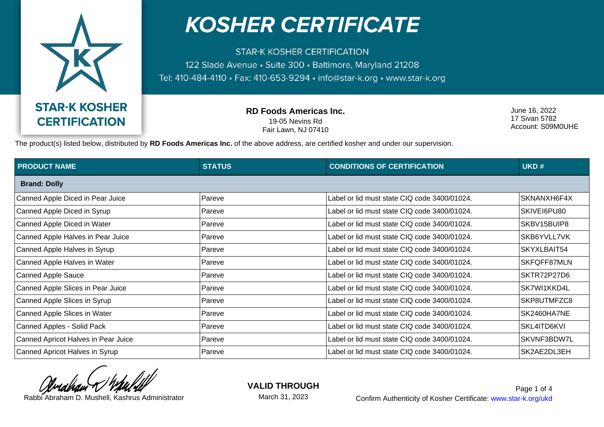

## **KOSHER CERTIFICATE**

**STAR-K KOSHER CERTIFICATION** 122 Slade Avenue · Suite 300 · Baltimore, Maryland 21208 Tel: 410-484-4110 · Fax: 410-653-9294 · info@star-k.org · www.star-k.org

> **RD Foods Americas Inc.** 19-05 Nevins Rd Fair Lawn, NJ 07410

June 16, 2022 17 Sivan 5782 Account: S09M0UHE

The product(s) listed below, distributed by **RD Foods Americas Inc.** of the above address, are certified kosher and under our supervision.

| <b>PRODUCT NAME</b>                 | <b>STATUS</b> | <b>CONDITIONS OF CERTIFICATION</b>           | UKD#        |  |  |
|-------------------------------------|---------------|----------------------------------------------|-------------|--|--|
| <b>Brand: Dolly</b>                 |               |                                              |             |  |  |
| Canned Apple Diced in Pear Juice    | Pareve        | Label or lid must state CIQ code 3400/01024. | SKNANXH6F4X |  |  |
| Canned Apple Diced in Syrup         | Pareve        | Label or lid must state CIQ code 3400/01024. | SKIVEI6PU80 |  |  |
| Canned Apple Diced in Water         | Pareve        | Label or lid must state CIQ code 3400/01024. | SKBV15BUIP8 |  |  |
| Canned Apple Halves in Pear Juice   | Pareve        | Label or lid must state CIQ code 3400/01024. | SKB6YVLL7VK |  |  |
| Canned Apple Halves in Syrup        | Pareve        | Label or lid must state CIQ code 3400/01024. | SKYXLBAIT54 |  |  |
| Canned Apple Halves in Water        | Pareve        | Label or lid must state CIQ code 3400/01024. | SKFQFF87MLN |  |  |
| <b>Canned Apple Sauce</b>           | Pareve        | Label or lid must state CIQ code 3400/01024. | SKTR72P27D6 |  |  |
| Canned Apple Slices in Pear Juice   | Pareve        | Label or lid must state CIQ code 3400/01024. | SK7WI1KKD4L |  |  |
| Canned Apple Slices in Syrup        | Pareve        | Label or lid must state CIQ code 3400/01024. | SKP8UTMFZC8 |  |  |
| Canned Apple Slices in Water        | Pareve        | Label or lid must state CIQ code 3400/01024. | SK2460HA7NE |  |  |
| Canned Apples - Solid Pack          | Pareve        | Label or lid must state CIQ code 3400/01024. | SKL4ITD6KVI |  |  |
| Canned Apricot Halves in Pear Juice | Pareve        | Label or lid must state CIQ code 3400/01024. | SKVNF3BDW7L |  |  |
| Canned Apricot Halves in Syrup      | Pareve        | Label or lid must state CIQ code 3400/01024. | SK2AE2DL3EH |  |  |

**VALID THROUGH**

March 31, 2023

Rabbi Abraham D. Mushell, Kashrus Administrator **Confirm Authenticity of Kosher Certificate:** www.star-k.org/ukd Page 1 of 4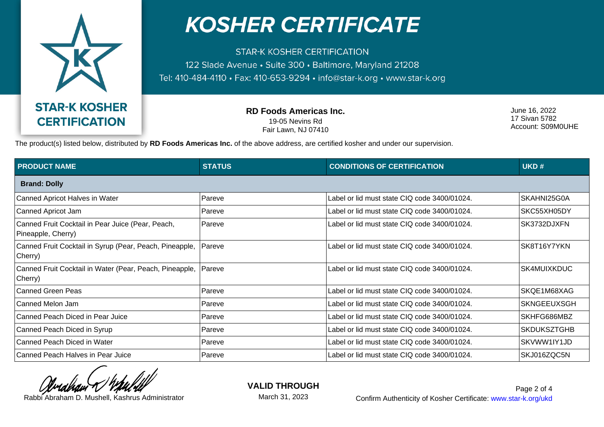

## **KOSHER CERTIFICATE**

**STAR-K KOSHER CERTIFICATION** 122 Slade Avenue · Suite 300 · Baltimore, Maryland 21208 Tel: 410-484-4110 · Fax: 410-653-9294 · info@star-k.org · www.star-k.org

> **RD Foods Americas Inc.** 19-05 Nevins Rd Fair Lawn, NJ 07410

June 16, 2022 17 Sivan 5782 Account: S09M0UHE

The product(s) listed below, distributed by **RD Foods Americas Inc.** of the above address, are certified kosher and under our supervision.

| <b>PRODUCT NAME</b>                                                     | <b>STATUS</b> | <b>CONDITIONS OF CERTIFICATION</b>           | UKD#               |  |  |
|-------------------------------------------------------------------------|---------------|----------------------------------------------|--------------------|--|--|
| <b>Brand: Dolly</b>                                                     |               |                                              |                    |  |  |
| Canned Apricot Halves in Water                                          | Pareve        | Label or lid must state CIQ code 3400/01024. | SKAHNI25G0A        |  |  |
| Canned Apricot Jam                                                      | Pareve        | Label or lid must state CIQ code 3400/01024. | SKC55XH05DY        |  |  |
| Canned Fruit Cocktail in Pear Juice (Pear, Peach,<br>Pineapple, Cherry) | Pareve        | Label or lid must state CIQ code 3400/01024. | SK3732DJXFN        |  |  |
| Canned Fruit Cocktail in Syrup (Pear, Peach, Pineapple,<br>Cherry)      | Pareve        | Label or lid must state CIQ code 3400/01024. | SK8T16Y7YKN        |  |  |
| Canned Fruit Cocktail in Water (Pear, Peach, Pineapple,  <br>Cherry)    | Pareve        | Label or lid must state CIQ code 3400/01024. | <b>SK4MUIXKDUC</b> |  |  |
| Canned Green Peas                                                       | Pareve        | Label or lid must state CIQ code 3400/01024. | ISKQE1M68XAG       |  |  |
| Canned Melon Jam                                                        | Pareve        | Label or lid must state CIQ code 3400/01024. | <b>SKNGEEUXSGH</b> |  |  |
| Canned Peach Diced in Pear Juice                                        | Pareve        | Label or lid must state CIQ code 3400/01024. | SKHFG686MBZ        |  |  |
| Canned Peach Diced in Syrup                                             | Pareve        | Label or lid must state CIQ code 3400/01024. | <b>SKDUKSZTGHB</b> |  |  |
| Canned Peach Diced in Water                                             | Pareve        | Label or lid must state CIQ code 3400/01024. | SKVWW1IY1JD        |  |  |
| Canned Peach Halves in Pear Juice                                       | Pareve        | Label or lid must state CIQ code 3400/01024. | SKJ016ZQC5N        |  |  |

**VALID THROUGH**

March 31, 2023

Rabbi Abraham D. Mushell, Kashrus Administrator **Confirm Authenticity of Kosher Certificate:** www.star-k.org/ukd Page 2 of 4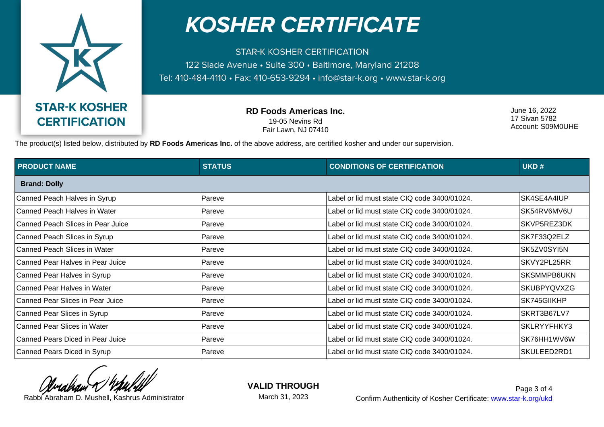

## **KOSHER CERTIFICATE**

**STAR-K KOSHER CERTIFICATION** 122 Slade Avenue · Suite 300 · Baltimore, Maryland 21208 Tel: 410-484-4110 · Fax: 410-653-9294 · info@star-k.org · www.star-k.org

> **RD Foods Americas Inc.** 19-05 Nevins Rd Fair Lawn, NJ 07410

June 16, 2022 17 Sivan 5782 Account: S09M0UHE

The product(s) listed below, distributed by **RD Foods Americas Inc.** of the above address, are certified kosher and under our supervision.

| <b>PRODUCT NAME</b>               | <b>STATUS</b> | <b>CONDITIONS OF CERTIFICATION</b>           | UKD#               |  |  |
|-----------------------------------|---------------|----------------------------------------------|--------------------|--|--|
| <b>Brand: Dolly</b>               |               |                                              |                    |  |  |
| Canned Peach Halves in Syrup      | Pareve        | Label or lid must state CIQ code 3400/01024. | SK4SE4A4IUP        |  |  |
| Canned Peach Halves in Water      | Pareve        | Label or lid must state CIQ code 3400/01024. | SK54RV6MV6U        |  |  |
| Canned Peach Slices in Pear Juice | Pareve        | Label or lid must state CIQ code 3400/01024. | SKVP5REZ3DK        |  |  |
| Canned Peach Slices in Syrup      | Pareve        | Label or lid must state CIQ code 3400/01024. | SK7F33Q2ELZ        |  |  |
| Canned Peach Slices in Water      | Pareve        | Label or lid must state CIQ code 3400/01024. | SK5ZV0SYI5N        |  |  |
| Canned Pear Halves in Pear Juice  | Pareve        | Label or lid must state CIQ code 3400/01024. | SKVY2PL25RR        |  |  |
| Canned Pear Halves in Syrup       | Pareve        | Label or lid must state CIQ code 3400/01024. | SKSMMPB6UKN        |  |  |
| Canned Pear Halves in Water       | ∣Pareve       | Label or lid must state CIQ code 3400/01024. | <b>SKUBPYQVXZG</b> |  |  |
| Canned Pear Slices in Pear Juice  | Pareve        | Label or lid must state CIQ code 3400/01024. | SK745GIIKHP        |  |  |
| Canned Pear Slices in Syrup       | Pareve        | Label or lid must state CIQ code 3400/01024. | SKRT3B67LV7        |  |  |
| Canned Pear Slices in Water       | Pareve        | Label or lid must state CIQ code 3400/01024. | SKLRYYFHKY3        |  |  |
| Canned Pears Diced in Pear Juice  | Pareve        | Label or lid must state CIQ code 3400/01024. | SK76HH1WV6W        |  |  |
| Canned Pears Diced in Syrup       | Pareve        | Label or lid must state CIQ code 3400/01024. | SKULEED2RD1        |  |  |

**VALID THROUGH**